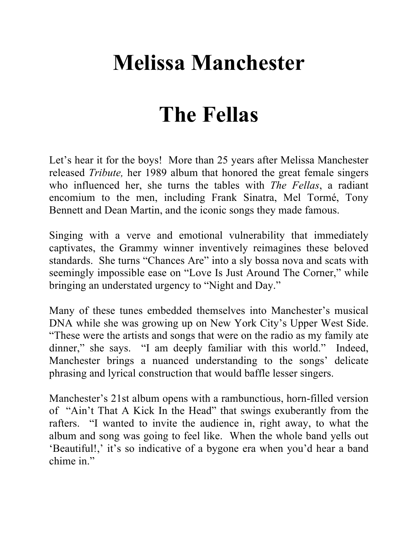## **Melissa Manchester**

## **The Fellas**

Let's hear it for the boys! More than 25 years after Melissa Manchester released *Tribute,* her 1989 album that honored the great female singers who influenced her, she turns the tables with *The Fellas*, a radiant encomium to the men, including Frank Sinatra, Mel Tormé, Tony Bennett and Dean Martin, and the iconic songs they made famous.

Singing with a verve and emotional vulnerability that immediately captivates, the Grammy winner inventively reimagines these beloved standards. She turns "Chances Are" into a sly bossa nova and scats with seemingly impossible ease on "Love Is Just Around The Corner," while bringing an understated urgency to "Night and Day."

Many of these tunes embedded themselves into Manchester's musical DNA while she was growing up on New York City's Upper West Side. "These were the artists and songs that were on the radio as my family ate dinner," she says. "I am deeply familiar with this world." Indeed, Manchester brings a nuanced understanding to the songs' delicate phrasing and lyrical construction that would baffle lesser singers.

Manchester's 21st album opens with a rambunctious, horn-filled version of "Ain't That A Kick In the Head" that swings exuberantly from the rafters. "I wanted to invite the audience in, right away, to what the album and song was going to feel like. When the whole band yells out 'Beautiful!,' it's so indicative of a bygone era when you'd hear a band chime in."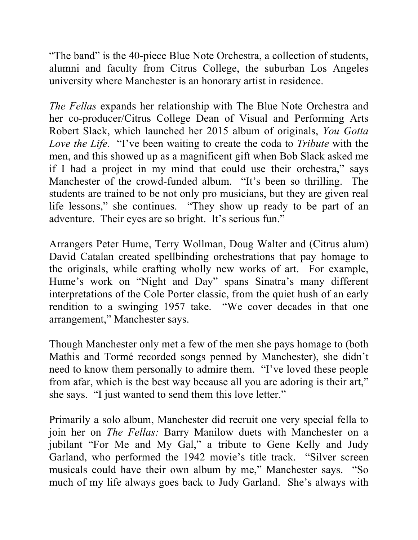"The band" is the 40-piece Blue Note Orchestra, a collection of students, alumni and faculty from Citrus College, the suburban Los Angeles university where Manchester is an honorary artist in residence.

*The Fellas* expands her relationship with The Blue Note Orchestra and her co-producer/Citrus College Dean of Visual and Performing Arts Robert Slack, which launched her 2015 album of originals, *You Gotta Love the Life.* "I've been waiting to create the coda to *Tribute* with the men, and this showed up as a magnificent gift when Bob Slack asked me if I had a project in my mind that could use their orchestra," says Manchester of the crowd-funded album. "It's been so thrilling. The students are trained to be not only pro musicians, but they are given real life lessons," she continues. "They show up ready to be part of an adventure. Their eyes are so bright. It's serious fun."

Arrangers Peter Hume, Terry Wollman, Doug Walter and (Citrus alum) David Catalan created spellbinding orchestrations that pay homage to the originals, while crafting wholly new works of art. For example, Hume's work on "Night and Day" spans Sinatra's many different interpretations of the Cole Porter classic, from the quiet hush of an early rendition to a swinging 1957 take. "We cover decades in that one arrangement," Manchester says.

Though Manchester only met a few of the men she pays homage to (both Mathis and Tormé recorded songs penned by Manchester), she didn't need to know them personally to admire them. "I've loved these people from afar, which is the best way because all you are adoring is their art," she says. "I just wanted to send them this love letter."

Primarily a solo album, Manchester did recruit one very special fella to join her on *The Fellas:* Barry Manilow duets with Manchester on a jubilant "For Me and My Gal," a tribute to Gene Kelly and Judy Garland, who performed the 1942 movie's title track. "Silver screen musicals could have their own album by me," Manchester says. "So much of my life always goes back to Judy Garland. She's always with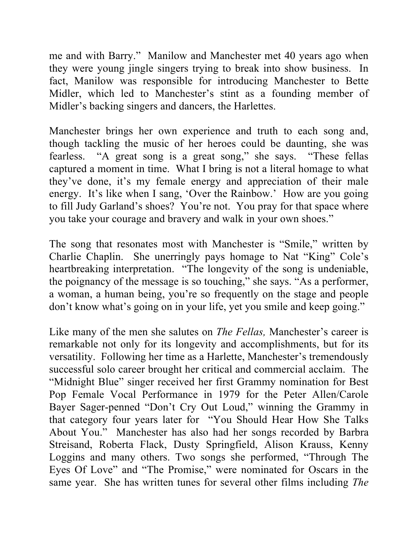me and with Barry." Manilow and Manchester met 40 years ago when they were young jingle singers trying to break into show business. In fact, Manilow was responsible for introducing Manchester to Bette Midler, which led to Manchester's stint as a founding member of Midler's backing singers and dancers, the Harlettes.

Manchester brings her own experience and truth to each song and, though tackling the music of her heroes could be daunting, she was fearless. "A great song is a great song," she says. "These fellas captured a moment in time. What I bring is not a literal homage to what they've done, it's my female energy and appreciation of their male energy. It's like when I sang, 'Over the Rainbow.' How are you going to fill Judy Garland's shoes? You're not. You pray for that space where you take your courage and bravery and walk in your own shoes."

The song that resonates most with Manchester is "Smile," written by Charlie Chaplin. She unerringly pays homage to Nat "King" Cole's heartbreaking interpretation. "The longevity of the song is undeniable, the poignancy of the message is so touching," she says. "As a performer, a woman, a human being, you're so frequently on the stage and people don't know what's going on in your life, yet you smile and keep going."

Like many of the men she salutes on *The Fellas,* Manchester's career is remarkable not only for its longevity and accomplishments, but for its versatility. Following her time as a Harlette, Manchester's tremendously successful solo career brought her critical and commercial acclaim. The "Midnight Blue" singer received her first Grammy nomination for Best Pop Female Vocal Performance in 1979 for the Peter Allen/Carole Bayer Sager-penned "Don't Cry Out Loud," winning the Grammy in that category four years later for "You Should Hear How She Talks About You." Manchester has also had her songs recorded by Barbra Streisand, Roberta Flack, Dusty Springfield, Alison Krauss, Kenny Loggins and many others. Two songs she performed, "Through The Eyes Of Love" and "The Promise," were nominated for Oscars in the same year. She has written tunes for several other films including *The*